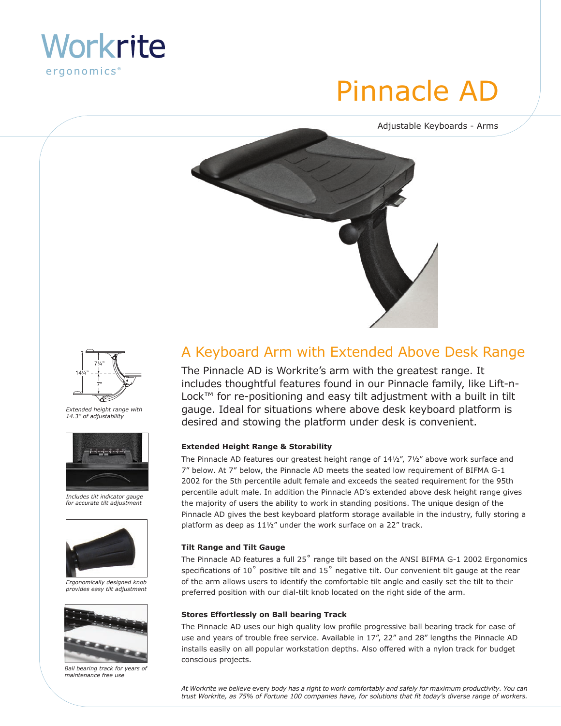

# Pinnacle AD

Adjustable Keyboards - Arms





*Extended height range with 14.3" of adjustability*



*Includes tilt indicator gauge for accurate tilt adjustment*



*Ergonomically designed knob provides easy tilt adjustment*



*Ball bearing track for years of maintenance free use*

### A Keyboard Arm with Extended Above Desk Range

The Pinnacle AD is Workrite's arm with the greatest range. It includes thoughtful features found in our Pinnacle family, like Lift-n-Lock™ for re-positioning and easy tilt adjustment with a built in tilt gauge. Ideal for situations where above desk keyboard platform is desired and stowing the platform under desk is convenient.

#### **Extended Height Range & Storability**

The Pinnacle AD features our greatest height range of 141/2", 71/2" above work surface and 7" below. At 7" below, the Pinnacle AD meets the seated low requirement of BIFMA G-1 2002 for the 5th percentile adult female and exceeds the seated requirement for the 95th percentile adult male. In addition the Pinnacle AD's extended above desk height range gives the majority of users the ability to work in standing positions. The unique design of the Pinnacle AD gives the best keyboard platform storage available in the industry, fully storing a platform as deep as 11½" under the work surface on a 22" track.

#### **Tilt Range and Tilt Gauge**

The Pinnacle AD features a full 25° range tilt based on the ANSI BIFMA G-1 2002 Ergonomics specifications of  $10^{\circ}$  positive tilt and  $15^{\circ}$  negative tilt. Our convenient tilt gauge at the rear of the arm allows users to identify the comfortable tilt angle and easily set the tilt to their preferred position with our dial-tilt knob located on the right side of the arm.

#### **Stores Effortlessly on Ball bearing Track**

The Pinnacle AD uses our high quality low profile progressive ball bearing track for ease of use and years of trouble free service. Available in 17", 22" and 28" lengths the Pinnacle AD installs easily on all popular workstation depths. Also offered with a nylon track for budget conscious projects.

*At Workrite we believe* every *body has a right to work comfortably and safely for maximum productivity. You can trust Workrite, as 75% of Fortune 100 companies have, for solutions that fit today's diverse range of workers.*